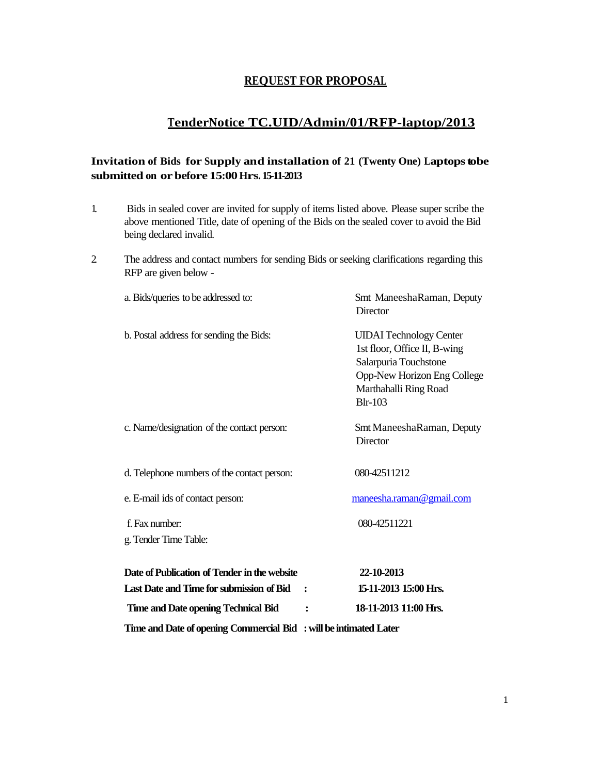## **REQUEST FOR PROPOSAL**

# **TenderNotice TC.UID/Admin/01/RFP-laptop/2013**

## **Invitation of Bids for Supply and installation of 21 (Twenty One) Laptopstobe submitted on orbefore 15:00Hrs. 15-11-2013**

- 1. Bids in sealed cover are invited for supply of items listed above. Please super scribe the above mentioned Title, date of opening of the Bids on the sealed cover to avoid the Bid being declared invalid.
- 2. The address and contact numbers for sending Bids or seeking clarifications regarding this RFP are given below -

| Time and Date of opening Commercial Bid : will be intimated Later |                                                                                                                                                                   |  |
|-------------------------------------------------------------------|-------------------------------------------------------------------------------------------------------------------------------------------------------------------|--|
| <b>Time and Date opening Technical Bid</b>                        | 18-11-2013 11:00 Hrs.<br>$\ddot{\cdot}$                                                                                                                           |  |
| Last Date and Time for submission of Bid                          | 15-11-2013 15:00 Hrs.<br>$\ddot{\cdot}$                                                                                                                           |  |
| Date of Publication of Tender in the website                      | 22-10-2013                                                                                                                                                        |  |
| f. Fax number:<br>g. Tender Time Table:                           | 080-42511221                                                                                                                                                      |  |
|                                                                   |                                                                                                                                                                   |  |
| e. E-mail ids of contact person:                                  | maneesha.raman@gmail.com                                                                                                                                          |  |
| d. Telephone numbers of the contact person:                       | 080-42511212                                                                                                                                                      |  |
| c. Name/designation of the contact person:                        | Smt ManeeshaRaman, Deputy<br>Director                                                                                                                             |  |
| b. Postal address for sending the Bids:                           | <b>UIDAI</b> Technology Center<br>1st floor, Office II, B-wing<br>Salarpuria Touchstone<br>Opp-New Horizon Eng College<br>Marthahalli Ring Road<br><b>Blr-103</b> |  |
| a. Bids/queries to be addressed to:                               | Smt ManeeshaRaman, Deputy<br><b>Director</b>                                                                                                                      |  |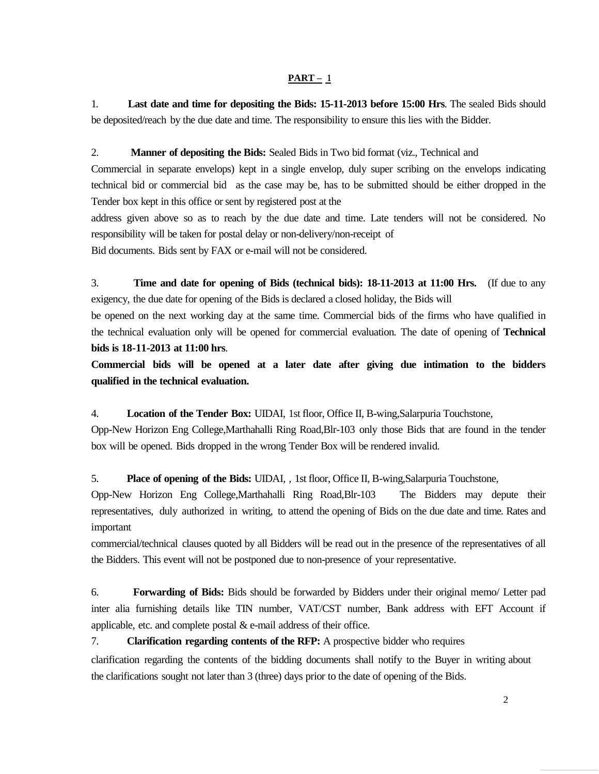#### $PART - 1$

1. **Last date and time for depositing the Bids: 15-11-2013 before 15:00 Hrs**. The sealed Bids should be deposited/reach by the due date and time. The responsibility to ensure this lies with the Bidder.

#### 2. **Manner of depositing the Bids:** Sealed Bids in Two bid format (viz., Technical and

Commercial in separate envelops) kept in a single envelop, duly super scribing on the envelops indicating technical bid or commercial bid as the case may be, has to be submitted should be either dropped in the Tender box kept in this office or sent by registered post at the

address given above so as to reach by the due date and time. Late tenders will not be considered. No responsibility will be taken for postal delay or non-delivery/non-receipt of

Bid documents. Bids sent by FAX or e-mail will not be considered.

3. **Time and date for opening of Bids (technical bids): 18-11-2013 at 11:00 Hrs.** (If due to any exigency, the due date for opening of the Bids is declared a closed holiday, the Bids will

be opened on the next working day at the same time. Commercial bids of the firms who have qualified in the technical evaluation only will be opened for commercial evaluation. The date of opening of **Technical bids is 18-11-2013 at 11:00 hrs**.

**Commercial bids will be opened at a later date after giving due intimation to the bidders qualified in the technical evaluation.**

4. **Location of the Tender Box:** UIDAI, 1st floor, Office II, B-wing,Salarpuria Touchstone,

Opp-New Horizon Eng College,Marthahalli Ring Road,Blr-103 only those Bids that are found in the tender box will be opened. Bids dropped in the wrong Tender Box will be rendered invalid.

5. **Place of opening of the Bids:** UIDAI, , 1st floor, Office II, B-wing,Salarpuria Touchstone,

Opp-New Horizon Eng College,Marthahalli Ring Road,Blr-103 The Bidders may depute their representatives, duly authorized in writing, to attend the opening of Bids on the due date and time. Rates and important

commercial/technical clauses quoted by all Bidders will be read out in the presence of the representatives of all the Bidders. This event will not be postponed due to non-presence of your representative.

6. **Forwarding of Bids:** Bids should be forwarded by Bidders under their original memo/ Letter pad inter alia furnishing details like TIN number, VAT/CST number, Bank address with EFT Account if applicable, etc. and complete postal  $&$  e-mail address of their office.

### 7. **Clarification regarding contents of the RFP:** A prospective bidder who requires

clarification regarding the contents of the bidding documents shall notify to the Buyer in writing about the clarifications sought not later than 3 (three) days prior to the date of opening of the Bids.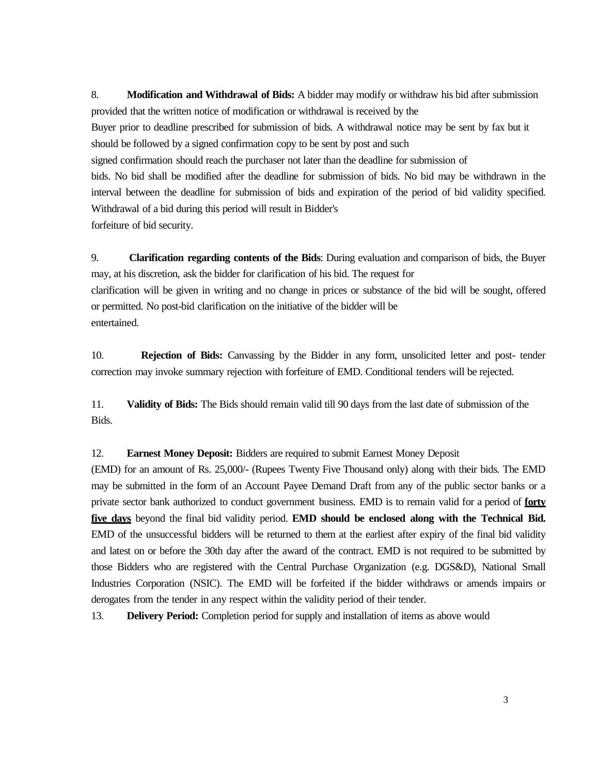8. **Modification and Withdrawal of Bids:** A bidder may modify or withdraw his bid after submission provided that the written notice of modification or withdrawal is received by the

Buyer prior to deadline prescribed for submission of bids. A withdrawal notice may be sent by fax but it should be followed by a signed confirmation copy to be sent by post and such

signed confirmation should reach the purchaser not later than the deadline for submission of

bids. No bid shall be modified after the deadline for submission of bids. No bid may be withdrawn in the interval between the deadline for submission of bids and expiration of the period of bid validity specified. Withdrawal of a bid during this period will result in Bidder's forfeiture of bid security.

9. **Clarification regarding contents of the Bids**: During evaluation and comparison of bids, the Buyer may, at his discretion, ask the bidder for clarification of his bid. The request for clarification will be given in writing and no change in prices or substance of the bid will be sought, offered or permitted. No post-bid clarification on the initiative of the bidder will be entertained.

10. **Rejection of Bids:** Canvassing by the Bidder in any form, unsolicited letter and post- tender correction may invoke summary rejection with forfeiture of EMD. Conditional tenders will be rejected.

11. **Validity of Bids:** The Bids should remain valid till 90 days from the last date of submission of the Bids.

#### 12. **Earnest Money Deposit:** Bidders are required to submit Earnest Money Deposit

(EMD) for an amount of Rs. 25,000/- (Rupees Twenty Five Thousand only) along with their bids. The EMD may be submitted in the form of an Account Payee Demand Draft from any of the public sector banks or a private sector bank authorized to conduct government business. EMD is to remain valid for a period of **forty five days** beyond the final bid validity period. **EMD should be enclosed along with the Technical Bid.**  EMD of the unsuccessful bidders will be returned to them at the earliest after expiry of the final bid validity and latest on or before the 30th day after the award of the contract. EMD is not required to be submitted by those Bidders who are registered with the Central Purchase Organization (e.g. DGS&D), National Small Industries Corporation (NSIC). The EMD will be forfeited if the bidder withdraws or amends impairs or derogates from the tender in any respect within the validity period of their tender.

13. **Delivery Period:** Completion period for supply and installation of items as above would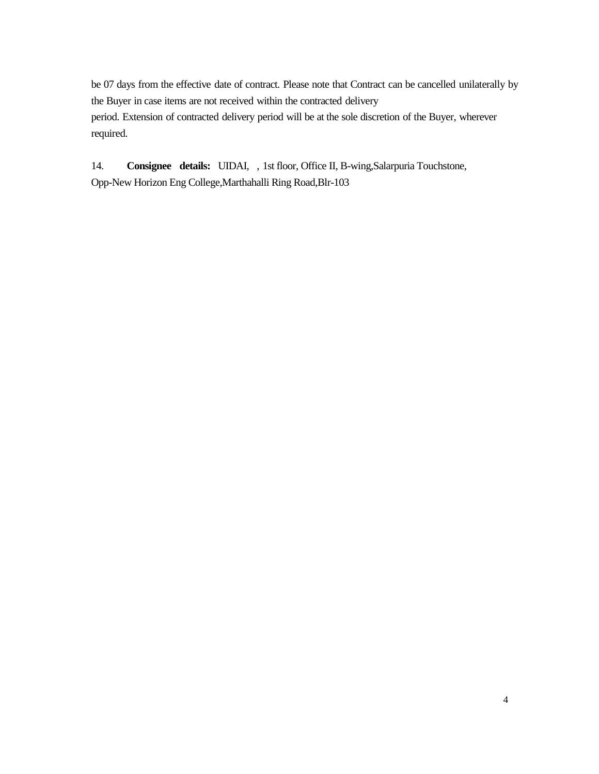be 07 days from the effective date of contract. Please note that Contract can be cancelled unilaterally by the Buyer in case items are not received within the contracted delivery period. Extension of contracted delivery period will be at the sole discretion of the Buyer, wherever required.

14. **Consignee details:** UIDAI, , 1st floor, Office II, B-wing,Salarpuria Touchstone, Opp-New Horizon Eng College,Marthahalli Ring Road,Blr-103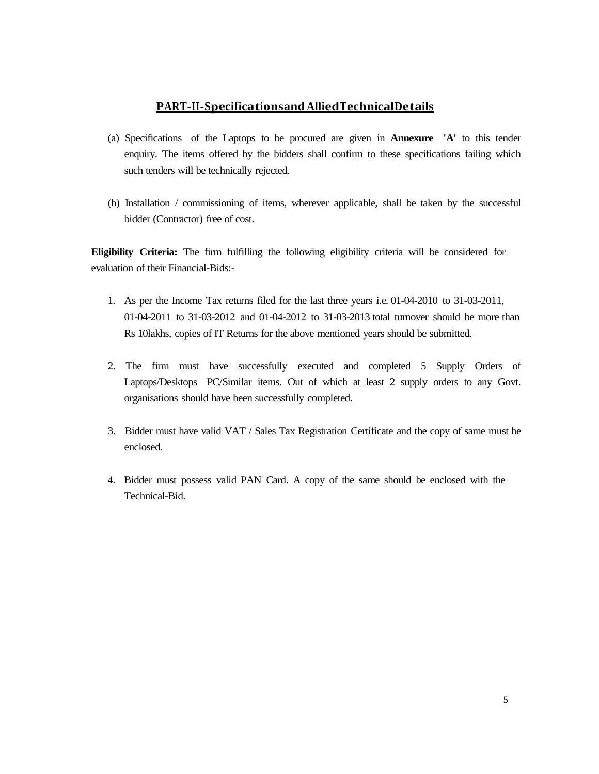## **PART-II-Specificationsand AlliedTechnicalDetails**

- (a) Specifications of the Laptops to be procured are given in **Annexure 'A'** to this tender enquiry. The items offered by the bidders shall confirm to these specifications failing which such tenders will be technically rejected.
- (b) Installation / commissioning of items, wherever applicable, shall be taken by the successful bidder (Contractor) free of cost.

**Eligibility Criteria:** The firm fulfilling the following eligibility criteria will be considered for evaluation of their Financial-Bids:-

- 1. As per the Income Tax returns filed for the last three years i.e. 01-04-2010 to 31-03-2011, 01-04-2011 to 31-03-2012 and 01-04-2012 to 31-03-2013 total turnover should be more than Rs 10lakhs, copies of IT Returns for the above mentioned years should be submitted.
- 2. The firm must have successfully executed and completed 5 Supply Orders of Laptops/Desktops PC/Similar items. Out of which at least 2 supply orders to any Govt. organisations should have been successfully completed.
- 3. Bidder must have valid VAT / Sales Tax Registration Certificate and the copy of same must be enclosed.
- 4. Bidder must possess valid PAN Card. A copy of the same should be enclosed with the Technical-Bid.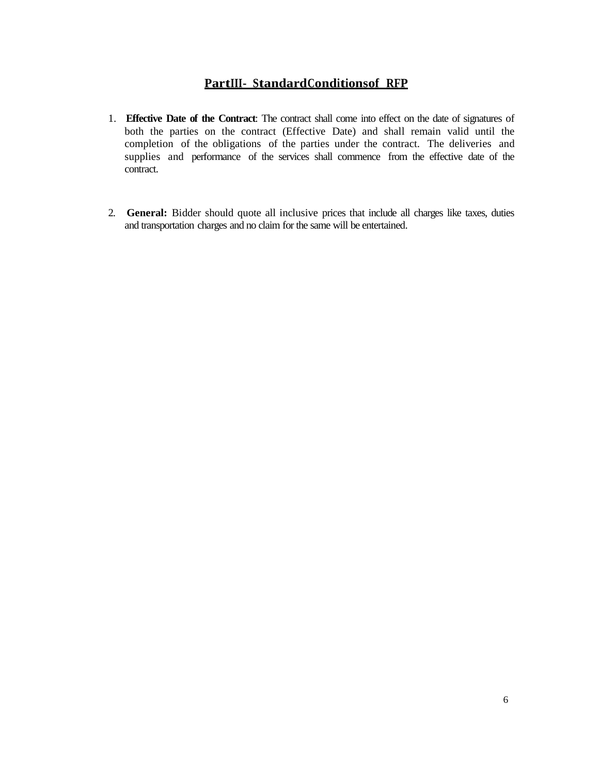# **PartIII- StandardConditionsof RFP**

- 1. **Effective Date of the Contract**: The contract shall come into effect on the date of signatures of both the parties on the contract (Effective Date) and shall remain valid until the completion of the obligations of the parties under the contract. The deliveries and supplies and performance of the services shall commence from the effective date of the contract.
- 2. **General:** Bidder should quote all inclusive prices that include all charges like taxes, duties and transportation charges and no claim for the same will be entertained.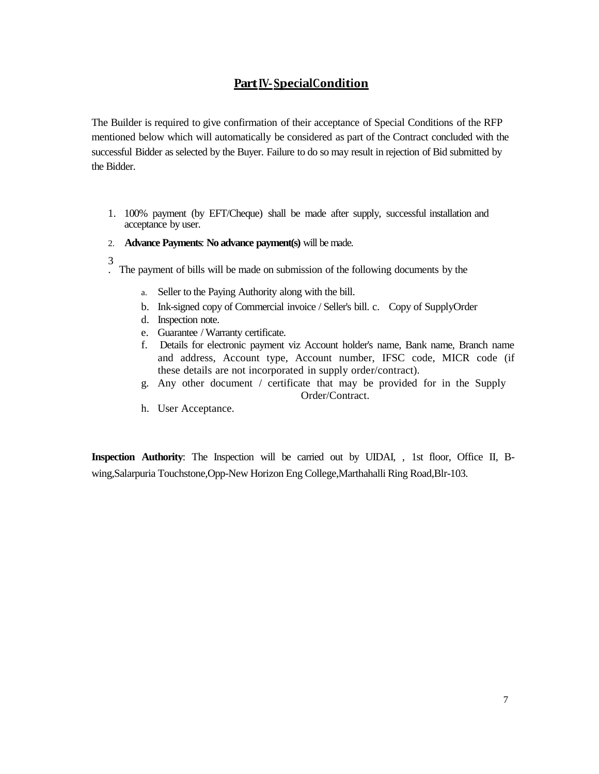# **Part IV-SpecialCondition**

The Builder is required to give confirmation of their acceptance of Special Conditions of the RFP mentioned below which will automatically be considered as part of the Contract concluded with the successful Bidder as selected by the Buyer. Failure to do so may result in rejection of Bid submitted by the Bidder.

- 1. 100% payment (by EFT/Cheque) shall be made after supply, successful installation and acceptance by user.
- 2. **Advance Payments**: **No advance payment(s)** will be made.
- 3
- . The payment of bills will be made on submission of the following documents by the
	- a. Seller to the Paying Authority along with the bill.
	- b. Ink-signed copy of Commercial invoice / Seller's bill. c. Copy of SupplyOrder
	- d. Inspection note.
	- e. Guarantee / Warranty certificate.
	- f. Details for electronic payment viz Account holder's name, Bank name, Branch name and address, Account type, Account number, IFSC code, MICR code (if these details are not incorporated in supply order/contract).
	- g. Any other document / certificate that may be provided for in the Supply Order/Contract.
	- h. User Acceptance.

**Inspection Authority**: The Inspection will be carried out by UIDAI, , 1st floor, Office II, Bwing,Salarpuria Touchstone,Opp-New Horizon Eng College,Marthahalli Ring Road,Blr-103.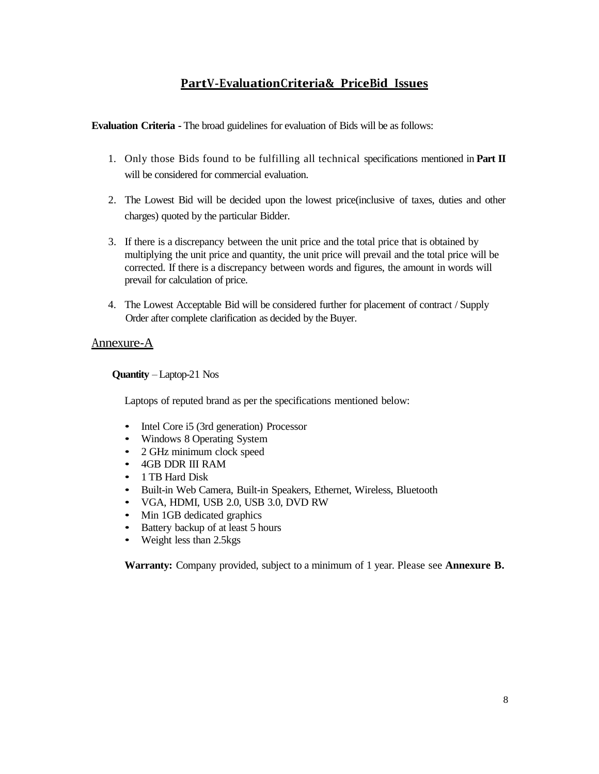# **PartV - EvaluationCriteria& Price Bid Issues**

**Evaluation Criteria -** The broad guidelines for evaluation of Bids will be as follows:

- 1. Only those Bids found to be fulfilling all technical specifications mentioned in **Part II** will be considered for commercial evaluation.
- 2. The Lowest Bid will be decided upon the lowest price(inclusive of taxes, duties and other charges) quoted by the particular Bidder.
- 3. If there is a discrepancy between the unit price and the total price that is obtained by multiplying the unit price and quantity, the unit price will prevail and the total price will be corrected. If there is a discrepancy between words and figures, the amount in words will prevail for calculation of price.
- 4. The Lowest Acceptable Bid will be considered further for placement of contract / Supply Order after complete clarification as decided by the Buyer.

### Annexure-A

**Quantity** – Laptop-21 Nos

Laptops of reputed brand as per the specifications mentioned below:

- Intel Core i5 (3rd generation) Processor
- Windows 8 Operating System
- 2 GHz minimum clock speed
- 4GB DDR III RAM
- 1 TB Hard Disk
- Built-in Web Camera, Built-in Speakers, Ethernet, Wireless, Bluetooth
- VGA, HDMI, USB 2.0, USB 3.0, DVD RW
- Min 1GB dedicated graphics
- Battery backup of at least 5 hours
- Weight less than 2.5 kgs

**Warranty:** Company provided, subject to a minimum of 1 year. Please see **Annexure B.**